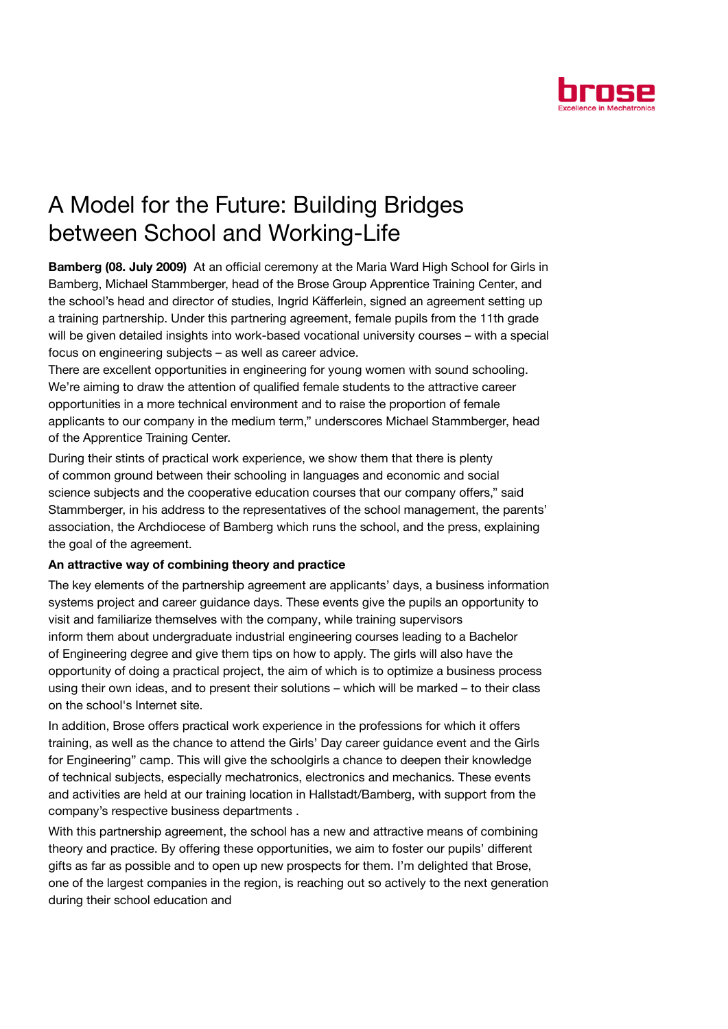

## A Model for the Future: Building Bridges between School and Working-Life

Bamberg (08. July 2009) At an official ceremony at the Maria Ward High School for Girls in Bamberg, Michael Stammberger, head of the Brose Group Apprentice Training Center, and the school's head and director of studies, Ingrid Käfferlein, signed an agreement setting up a training partnership. Under this partnering agreement, female pupils from the 11th grade will be given detailed insights into work-based vocational university courses – with a special focus on engineering subjects – as well as career advice.

There are excellent opportunities in engineering for young women with sound schooling. We're aiming to draw the attention of qualified female students to the attractive career opportunities in a more technical environment and to raise the proportion of female applicants to our company in the medium term," underscores Michael Stammberger, head of the Apprentice Training Center.

During their stints of practical work experience, we show them that there is plenty of common ground between their schooling in languages and economic and social science subjects and the cooperative education courses that our company offers," said Stammberger, in his address to the representatives of the school management, the parents' association, the Archdiocese of Bamberg which runs the school, and the press, explaining the goal of the agreement.

## An attractive way of combining theory and practice

The key elements of the partnership agreement are applicants' days, a business information systems project and career guidance days. These events give the pupils an opportunity to visit and familiarize themselves with the company, while training supervisors inform them about undergraduate industrial engineering courses leading to a Bachelor of Engineering degree and give them tips on how to apply. The girls will also have the opportunity of doing a practical project, the aim of which is to optimize a business process using their own ideas, and to present their solutions – which will be marked – to their class on the school's Internet site.

In addition, Brose offers practical work experience in the professions for which it offers training, as well as the chance to attend the Girls' Day career guidance event and the Girls for Engineering" camp. This will give the schoolgirls a chance to deepen their knowledge of technical subjects, especially mechatronics, electronics and mechanics. These events and activities are held at our training location in Hallstadt/Bamberg, with support from the company's respective business departments .

With this partnership agreement, the school has a new and attractive means of combining theory and practice. By offering these opportunities, we aim to foster our pupils' different gifts as far as possible and to open up new prospects for them. I'm delighted that Brose, one of the largest companies in the region, is reaching out so actively to the next generation during their school education and